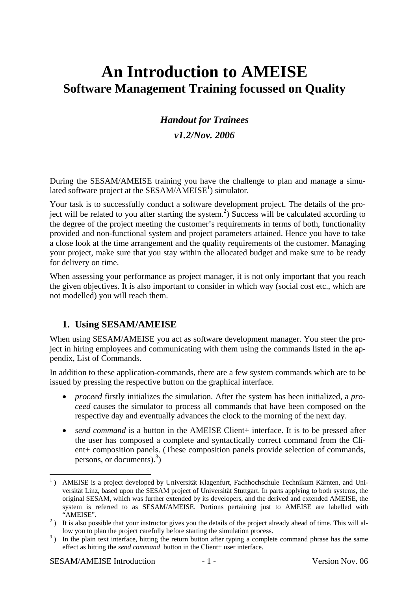## **An Introduction to AMEISE Software Management Training focussed on Quality**

# *Handout for Trainees*

## *v1.2/Nov. 2006*

During the SESAM/AMEISE training you have the challenge to plan and manage a simulated software project at the SESAM/AMEISE<sup>1</sup>) simulator.

Your task is to successfully conduct a software development project. The details of the project will be related to you after starting the system.<sup>2</sup>) Success will be calculated according to the degree of the project meeting the customer's requirements in terms of both, functionality provided and non-functional system and project parameters attained. Hence you have to take a close look at the time arrangement and the quality requirements of the customer. Managing your project, make sure that you stay within the allocated budget and make sure to be ready for delivery on time.

When assessing your performance as project manager, it is not only important that you reach the given objectives. It is also important to consider in which way (social cost etc., which are not modelled) you will reach them.

### **1. Using SESAM/AMEISE**

When using SESAM/AMEISE you act as software development manager. You steer the project in hiring employees and communicating with them using the commands listed in the appendix, List of Commands.

In addition to these application-commands, there are a few system commands which are to be issued by pressing the respective button on the graphical interface.

- *proceed* firstly initializes the simulation. After the system has been initialized, a *proceed* causes the simulator to process all commands that have been composed on the respective day and eventually advances the clock to the morning of the next day.
- *send command* is a button in the AMEISE Client+ interface. It is to be pressed after the user has composed a complete and syntactically correct command from the Client+ composition panels. (These composition panels provide selection of commands, persons, or documents).<sup>3</sup>)

<sup>&</sup>lt;sup>1</sup>) AMEISE is a project developed by Universität Klagenfurt, Fachhochschule Technikum Kärnten, and Universität Linz, based upon the SESAM project of Universität Stuttgart. In parts applying to both systems, the original SESAM, which was further extended by its developers, and the derived and extended AMEISE, the system is referred to as SESAM/AMEISE. Portions pertaining just to AMEISE are labelled with

<sup>&</sup>quot;AMEISE".<br><sup>2</sup>) It is also possible that your instructor gives you the details of the project already ahead of time. This will allow you to plan the project carefully before starting the simulation process.

<sup>&</sup>lt;sup>3</sup>) In the plain text interface, hitting the return button after typing a complete command phrase has the same effect as hitting the *send command* button in the Client+ user interface.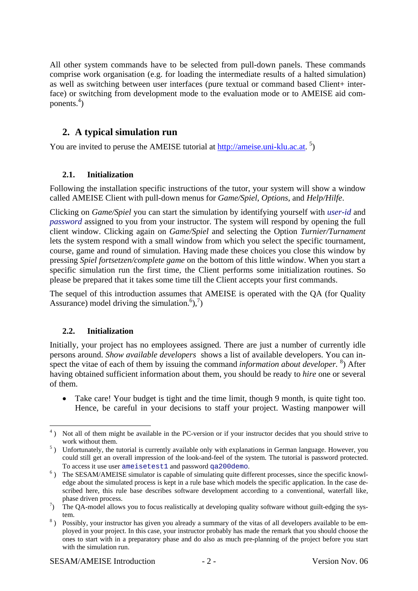All other system commands have to be selected from pull-down panels. These commands comprise work organisation (e.g. for loading the intermediate results of a halted simulation) as well as switching between user interfaces (pure textual or command based Client+ interface) or switching from development mode to the evaluation mode or to AMEISE aid components. $4$ )

## **2. A typical simulation run**

You are invited to peruse the AMEISE tutorial at http://ameise.uni-klu.ac.at.<sup>5</sup>)

#### **2.1. Initialization**

Following the installation specific instructions of the tutor, your system will show a window called AMEISE Client with pull-down menus for *Game/Spiel*, *Options*, and *Help/Hilfe*.

Clicking on *Game/Spiel* you can start the simulation by identifying yourself with *user-id* and *password* assigned to you from your instructor. The system will respond by opening the full client window. Clicking again on *Game/Spiel* and selecting the Option *Turnier/Turnament*  lets the system respond with a small window from which you select the specific tournament, course, game and round of simulation. Having made these choices you close this window by pressing *Spiel fortsetzen/complete game* on the bottom of this little window. When you start a specific simulation run the first time, the Client performs some initialization routines. So please be prepared that it takes some time till the Client accepts your first commands.

The sequel of this introduction assumes that AMEISE is operated with the QA (for Quality Assurance) model driving the simulation.<sup>6</sup> $)$ ,<sup>7</sup>)

#### **2.2. Initialization**

Initially, your project has no employees assigned. There are just a number of currently idle persons around. *Show available developers* shows a list of available developers. You can inspect the vitae of each of them by issuing the command *information about developer*.<sup>8</sup>) After having obtained sufficient information about them, you should be ready to *hire* one or several of them.

• Take care! Your budget is tight and the time limit, though 9 month, is quite tight too. Hence, be careful in your decisions to staff your project. Wasting manpower will

<sup>&</sup>lt;u>.</u> <sup>4</sup>) Not all of them might be available in the PC-version or if your instructor decides that you should strive to

work without them.<br>
<sup>5</sup>) Unfortunately, the tutorial is currently available only with explanations in German language. However, you could still get an overall impression of the look-and-feel of the system. The tutorial is password protected. To access it use user ameisetest1 and password qa200demo. 6

<sup>&</sup>lt;sup>6</sup>) The SESAM/AMEISE simulator is capable of simulating quite different processes, since the specific knowledge about the simulated process is kept in a rule base which models the specific application. In the case described here, this rule base describes software development according to a conventional, waterfall like,

phase driven process.<br>
<sup>7</sup>) The QA-model allows you to focus realistically at developing quality software without guilt-edging the sys-

tem.<br><sup>8</sup>) Possibly, your instructor has given you already a summary of the vitas of all developers available to be employed in your project. In this case, your instructor probably has made the remark that you should choose the ones to start with in a preparatory phase and do also as much pre-planning of the project before you start with the simulation run.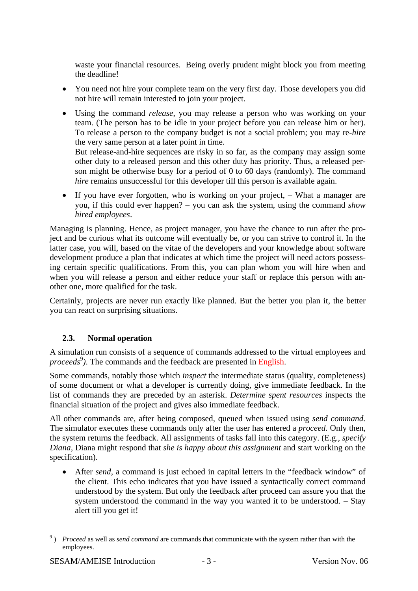waste your financial resources. Being overly prudent might block you from meeting the deadline!

- You need not hire your complete team on the very first day. Those developers you did not hire will remain interested to join your project.
- Using the command *release*, you may release a person who was working on your team. (The person has to be idle in your project before you can release him or her). To release a person to the company budget is not a social problem; you may re-*hire* the very same person at a later point in time.

But release-and-hire sequences are risky in so far, as the company may assign some other duty to a released person and this other duty has priority. Thus, a released person might be otherwise busy for a period of 0 to 60 days (randomly). The command *hire* remains unsuccessful for this developer till this person is available again.

• If you have ever forgotten, who is working on your project, – What a manager are you, if this could ever happen? – you can ask the system, using the command *show hired employees*.

Managing is planning. Hence, as project manager, you have the chance to run after the project and be curious what its outcome will eventually be, or you can strive to control it. In the latter case, you will, based on the vitae of the developers and your knowledge about software development produce a plan that indicates at which time the project will need actors possessing certain specific qualifications. From this, you can plan whom you will hire when and when you will release a person and either reduce your staff or replace this person with another one, more qualified for the task.

Certainly, projects are never run exactly like planned. But the better you plan it, the better you can react on surprising situations.

#### **2.3. Normal operation**

A simulation run consists of a sequence of commands addressed to the virtual employees and proceeds<sup>9</sup>). The commands and the feedback are presented in English.

Some commands, notably those which *inspect* the intermediate status (quality, completeness) of some document or what a developer is currently doing, give immediate feedback. In the list of commands they are preceded by an asterisk. *Determine spent resources* inspects the financial situation of the project and gives also immediate feedback.

All other commands are, after being composed, queued when issued using *send command.* The simulator executes these commands only after the user has entered a *proceed.* Only then, the system returns the feedback. All assignments of tasks fall into this category. (E.g., *specify Diana,* Diana might respond that *she is happy about this assignment* and start working on the specification).

• After *send*, a command is just echoed in capital letters in the "feedback window" of the client. This echo indicates that you have issued a syntactically correct command understood by the system. But only the feedback after proceed can assure you that the system understood the command in the way you wanted it to be understood. – Stay alert till you get it!

1

<sup>&</sup>lt;sup>9</sup>) *Proceed* as well as *send command* are commands that communicate with the system rather than with the employees.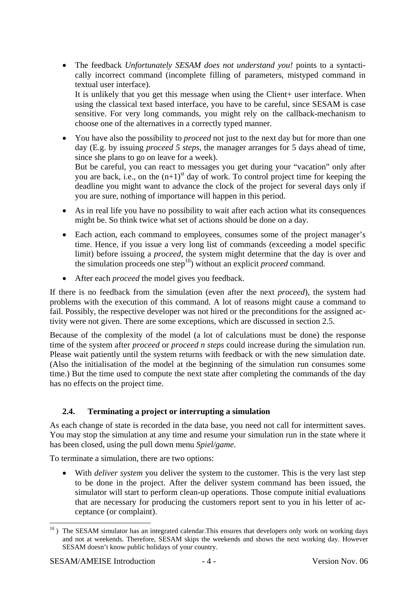• The feedback *Unfortunately SESAM does not understand you!* points to a syntactically incorrect command (incomplete filling of parameters, mistyped command in textual user interface). It is unlikely that you get this message when using the Client+ user interface. When

using the classical text based interface, you have to be careful, since SESAM is case sensitive. For very long commands, you might rely on the callback-mechanism to choose one of the alternatives in a correctly typed manner.

- You have also the possibility to *proceed* not just to the next day but for more than one day (E.g. by issuing *proceed 5 steps*, the manager arranges for 5 days ahead of time, since she plans to go on leave for a week). But be careful, you can react to messages you get during your "vacation" only after you are back, i.e., on the  $(n+1)$ <sup>st</sup> day of work. To control project time for keeping the deadline you might want to advance the clock of the project for several days only if you are sure, nothing of importance will happen in this period.
- As in real life you have no possibility to wait after each action what its consequences might be. So think twice what set of actions should be done on a day.
- Each action, each command to employees, consumes some of the project manager's time. Hence, if you issue a very long list of commands (exceeding a model specific limit) before issuing a *proceed*, the system might determine that the day is over and the simulation proceeds one step10) without an explicit *proceed* command.
- After each *proceed* the model gives you feedback.

If there is no feedback from the simulation (even after the next *proceed*), the system had problems with the execution of this command. A lot of reasons might cause a command to fail. Possibly, the respective developer was not hired or the preconditions for the assigned activity were not given. There are some exceptions, which are discussed in section 2.5.

Because of the complexity of the model (a lot of calculations must be done) the response time of the system after *proceed* or *proceed n steps* could increase during the simulation run. Please wait patiently until the system returns with feedback or with the new simulation date. (Also the initialisation of the model at the beginning of the simulation run consumes some time.) But the time used to compute the next state after completing the commands of the day has no effects on the project time.

#### **2.4. Terminating a project or interrupting a simulation**

As each change of state is recorded in the data base, you need not call for intermittent saves. You may stop the simulation at any time and resume your simulation run in the state where it has been closed, using the pull down menu *Spiel/game*.

To terminate a simulation, there are two options:

• With *deliver system* you deliver the system to the customer. This is the very last step to be done in the project. After the deliver system command has been issued, the simulator will start to perform clean-up operations. Those compute initial evaluations that are necessary for producing the customers report sent to you in his letter of acceptance (or complaint).

1

 $10$ ) The SESAM simulator has an integrated calendar. This ensures that developers only work on working days and not at weekends. Therefore, SESAM skips the weekends and shows the next working day. However SESAM doesn't know public holidays of your country.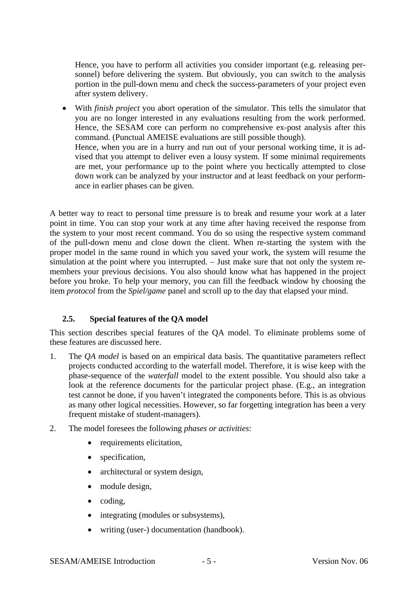Hence, you have to perform all activities you consider important (e.g. releasing personnel) before delivering the system. But obviously, you can switch to the analysis portion in the pull-down menu and check the success-parameters of your project even after system delivery.

• With *finish project* you abort operation of the simulator. This tells the simulator that you are no longer interested in any evaluations resulting from the work performed. Hence, the SESAM core can perform no comprehensive ex-post analysis after this command. (Punctual AMEISE evaluations are still possible though). Hence, when you are in a hurry and run out of your personal working time, it is advised that you attempt to deliver even a lousy system. If some minimal requirements are met, your performance up to the point where you hectically attempted to close down work can be analyzed by your instructor and at least feedback on your performance in earlier phases can be given.

A better way to react to personal time pressure is to break and resume your work at a later point in time. You can stop your work at any time after having received the response from the system to your most recent command. You do so using the respective system command of the pull-down menu and close down the client. When re-starting the system with the proper model in the same round in which you saved your work, the system will resume the simulation at the point where you interrupted. – Just make sure that not only the system remembers your previous decisions. You also should know what has happened in the project before you broke. To help your memory, you can fill the feedback window by choosing the item *protocol* from the *Spiel/game* panel and scroll up to the day that elapsed your mind.

#### **2.5. Special features of the QA model**

This section describes special features of the QA model. To eliminate problems some of these features are discussed here.

- 1. The *QA model* is based on an empirical data basis. The quantitative parameters reflect projects conducted according to the waterfall model. Therefore, it is wise keep with the phase-sequence of the *waterfall* model to the extent possible. You should also take a look at the reference documents for the particular project phase. (E.g., an integration test cannot be done, if you haven't integrated the components before. This is as obvious as many other logical necessities. However, so far forgetting integration has been a very frequent mistake of student-managers).
- 2. The model foresees the following *phases or activities*:
	- requirements elicitation,
	- specification.
	- architectural or system design,
	- module design,
	- coding,
	- integrating (modules or subsystems),
	- writing (user-) documentation (handbook).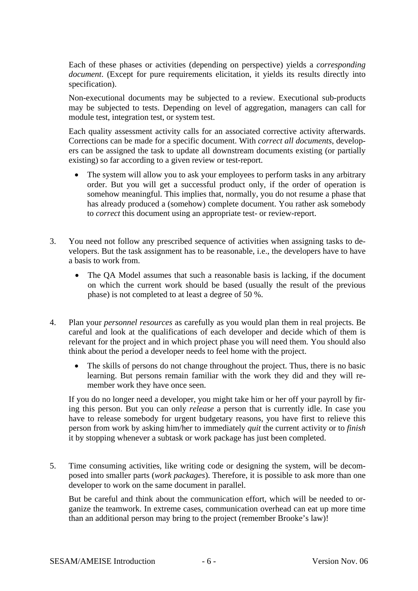Each of these phases or activities (depending on perspective) yields a *corresponding document*. (Except for pure requirements elicitation, it yields its results directly into specification).

Non-executional documents may be subjected to a review. Executional sub-products may be subjected to tests. Depending on level of aggregation, managers can call for module test, integration test, or system test.

Each quality assessment activity calls for an associated corrective activity afterwards. Corrections can be made for a specific document. With *correct all documents*, developers can be assigned the task to update all downstream documents existing (or partially existing) so far according to a given review or test-report.

- The system will allow you to ask your employees to perform tasks in any arbitrary order. But you will get a successful product only, if the order of operation is somehow meaningful. This implies that, normally, you do not resume a phase that has already produced a (somehow) complete document. You rather ask somebody to *correct* this document using an appropriate test- or review-report.
- 3. You need not follow any prescribed sequence of activities when assigning tasks to developers. But the task assignment has to be reasonable, i.e., the developers have to have a basis to work from.
	- The OA Model assumes that such a reasonable basis is lacking, if the document on which the current work should be based (usually the result of the previous phase) is not completed to at least a degree of 50 %.
- 4. Plan your *personnel resources* as carefully as you would plan them in real projects. Be careful and look at the qualifications of each developer and decide which of them is relevant for the project and in which project phase you will need them. You should also think about the period a developer needs to feel home with the project.
	- The skills of persons do not change throughout the project. Thus, there is no basic learning. But persons remain familiar with the work they did and they will remember work they have once seen.

If you do no longer need a developer, you might take him or her off your payroll by firing this person. But you can only *release* a person that is currently idle. In case you have to release somebody for urgent budgetary reasons, you have first to relieve this person from work by asking him/her to immediately *quit* the current activity or to *finish* it by stopping whenever a subtask or work package has just been completed.

5. Time consuming activities, like writing code or designing the system, will be decomposed into smaller parts (*work packages*). Therefore, it is possible to ask more than one developer to work on the same document in parallel.

But be careful and think about the communication effort, which will be needed to organize the teamwork. In extreme cases, communication overhead can eat up more time than an additional person may bring to the project (remember Brooke's law)!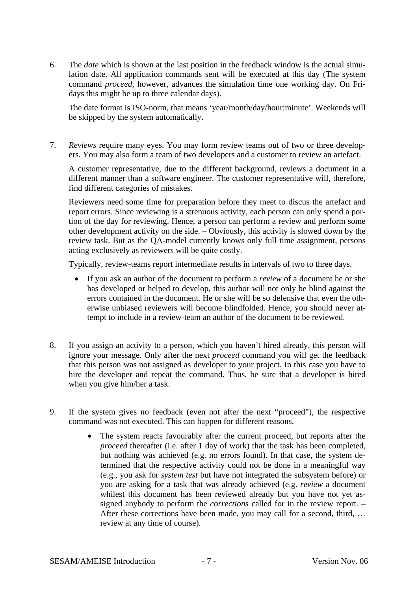6. The *date* which is shown at the last position in the feedback window is the actual simulation date. All application commands sent will be executed at this day (The system command *proceed*, however, advances the simulation time one working day. On Fridays this might be up to three calendar days).

The date format is ISO-norm, that means 'year/month/day/hour:minute'. Weekends will be skipped by the system automatically.

7. *Reviews* require many eyes. You may form review teams out of two or three developers. You may also form a team of two developers and a customer to review an artefact.

A customer representative, due to the different background, reviews a document in a different manner than a software engineer. The customer representative will, therefore, find different categories of mistakes.

Reviewers need some time for preparation before they meet to discus the artefact and report errors. Since reviewing is a strenuous activity, each person can only spend a portion of the day for reviewing. Hence, a person can perform a review and perform some other development activity on the side. – Obviously, this activity is slowed down by the review task. But as the QA-model currently knows only full time assignment, persons acting exclusively as reviewers will be quite costly.

Typically, review-teams report intermediate results in intervals of two to three days.

- If you ask an author of the document to perform a *review* of a document he or she has developed or helped to develop, this author will not only be blind against the errors contained in the document. He or she will be so defensive that even the otherwise unbiased reviewers will become blindfolded. Hence, you should never attempt to include in a review-team an author of the document to be reviewed.
- 8. If you assign an activity to a person, which you haven't hired already, this person will ignore your message. Only after the next *proceed* command you will get the feedback that this person was not assigned as developer to your project. In this case you have to hire the developer and repeat the command. Thus, be sure that a developer is hired when you give him/her a task.
- 9. If the system gives no feedback (even not after the next "proceed"), the respective command was not executed. This can happen for different reasons.
	- The system reacts favourably after the current proceed, but reports after the *proceed* thereafter (i.e. after 1 day of work) that the task has been completed, but nothing was achieved (e.g. no errors found). In that case, the system determined that the respective activity could not be done in a meaningful way (e.g., you ask for *system test* but have not integrated the subsystem before) or you are asking for a task that was already achieved (e.g. *review* a document whilest this document has been reviewed already but you have not yet assigned anybody to perform the *corrections* called for in the review report. – After these corrections have been made, you may call for a second, third, … review at any time of course).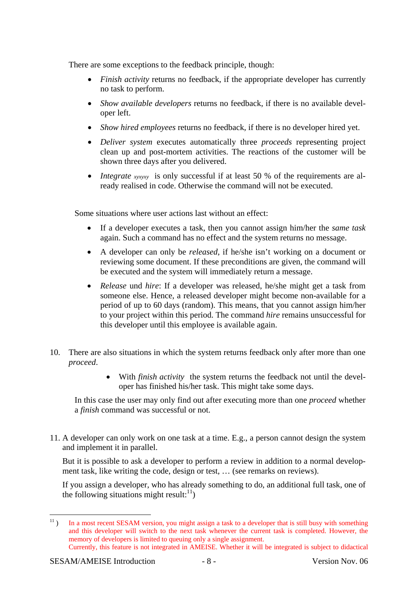There are some exceptions to the feedback principle, though:

- *Finish activity* returns no feedback, if the appropriate developer has currently no task to perform.
- *Show available developers* returns no feedback, if there is no available developer left.
- *Show hired employees* returns no feedback, if there is no developer hired yet.
- *Deliver system* executes automatically three *proceeds* representing project clean up and post-mortem activities. The reactions of the customer will be shown three days after you delivered.
- *Integrate xyxyxy* is only successful if at least 50 % of the requirements are already realised in code. Otherwise the command will not be executed.

Some situations where user actions last without an effect:

- If a developer executes a task, then you cannot assign him/her the *same task* again. Such a command has no effect and the system returns no message.
- A developer can only be *released*, if he/she isn't working on a document or reviewing some document. If these preconditions are given, the command will be executed and the system will immediately return a message.
- *Release* und *hire*: If a developer was released, he/she might get a task from someone else. Hence, a released developer might become non-available for a period of up to 60 days (random). This means, that you cannot assign him/her to your project within this period. The command *hire* remains unsuccessful for this developer until this employee is available again.
- 10. There are also situations in which the system returns feedback only after more than one *proceed*.
	- With *finish activity* the system returns the feedback not until the developer has finished his/her task. This might take some days.

In this case the user may only find out after executing more than one *proceed* whether a *finish* command was successful or not.

11. A developer can only work on one task at a time. E.g., a person cannot design the system and implement it in parallel.

But it is possible to ask a developer to perform a review in addition to a normal development task, like writing the code, design or test, … (see remarks on reviews).

If you assign a developer, who has already something to do, an additional full task, one of the following situations might result: $^{11}$ )

 $11)$ In a most recent SESAM version, you might assign a task to a developer that is still busy with something and this developer will switch to the next task whenever the current task is completed. However, the memory of developers is limited to queuing only a single assignment.

Currently, this feature is not integrated in AMEISE. Whether it will be integrated is subject to didactical